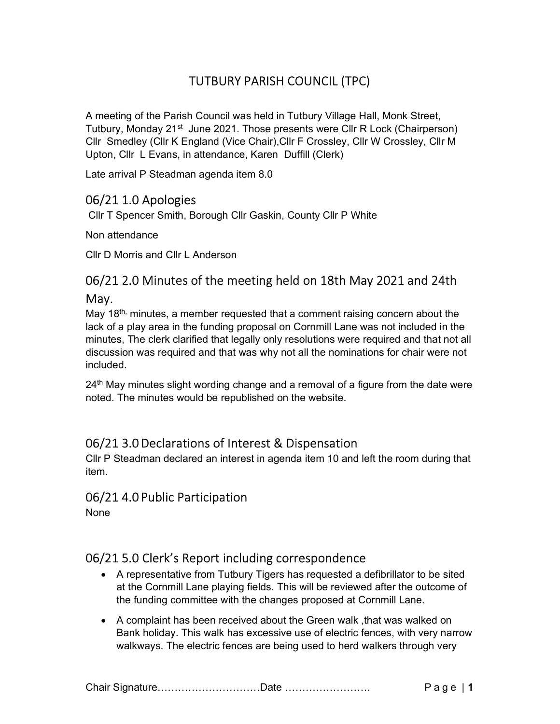# TUTBURY PARISH COUNCIL (TPC)

A meeting of the Parish Council was held in Tutbury Village Hall, Monk Street, Tutbury, Monday 21<sup>st</sup> June 2021. Those presents were Cllr R Lock (Chairperson) Cllr Smedley (Cllr K England (Vice Chair),Cllr F Crossley, Cllr W Crossley, Cllr M Upton, Cllr L Evans, in attendance, Karen Duffill (Clerk)

Late arrival P Steadman agenda item 8.0

### 06/21 1.0 Apologies

Cllr T Spencer Smith, Borough Cllr Gaskin, County Cllr P White

Non attendance

Cllr D Morris and Cllr L Anderson

# 06/21 2.0 Minutes of the meeting held on 18th May 2021 and 24th May.

May 18<sup>th,</sup> minutes, a member requested that a comment raising concern about the lack of a play area in the funding proposal on Cornmill Lane was not included in the minutes, The clerk clarified that legally only resolutions were required and that not all discussion was required and that was why not all the nominations for chair were not included.

 $24<sup>th</sup>$  May minutes slight wording change and a removal of a figure from the date were noted. The minutes would be republished on the website.

### 06/21 3.0 Declarations of Interest & Dispensation

Cllr P Steadman declared an interest in agenda item 10 and left the room during that item.

### 06/21 4.0 Public Participation

None

### 06/21 5.0 Clerk's Report including correspondence

- A representative from Tutbury Tigers has requested a defibrillator to be sited at the Cornmill Lane playing fields. This will be reviewed after the outcome of the funding committee with the changes proposed at Cornmill Lane.
- A complaint has been received about the Green walk ,that was walked on Bank holiday. This walk has excessive use of electric fences, with very narrow walkways. The electric fences are being used to herd walkers through very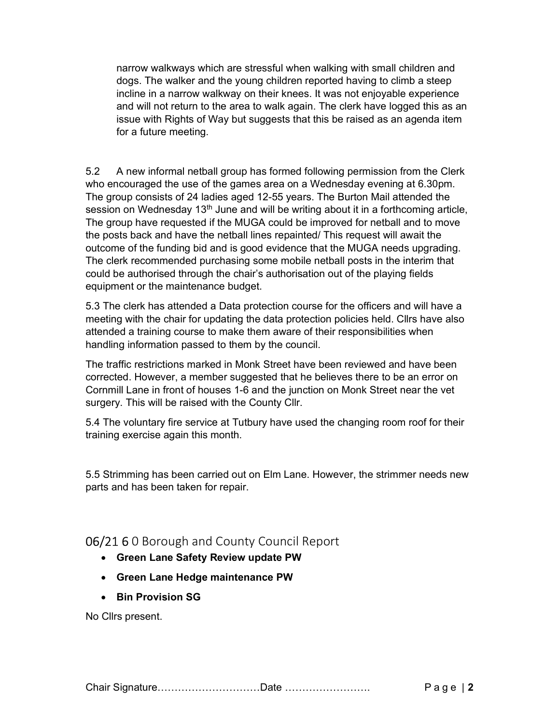narrow walkways which are stressful when walking with small children and dogs. The walker and the young children reported having to climb a steep incline in a narrow walkway on their knees. It was not enjoyable experience and will not return to the area to walk again. The clerk have logged this as an issue with Rights of Way but suggests that this be raised as an agenda item for a future meeting.

5.2 A new informal netball group has formed following permission from the Clerk who encouraged the use of the games area on a Wednesday evening at 6.30pm. The group consists of 24 ladies aged 12-55 years. The Burton Mail attended the session on Wednesday 13<sup>th</sup> June and will be writing about it in a forthcoming article, The group have requested if the MUGA could be improved for netball and to move the posts back and have the netball lines repainted/ This request will await the outcome of the funding bid and is good evidence that the MUGA needs upgrading. The clerk recommended purchasing some mobile netball posts in the interim that could be authorised through the chair's authorisation out of the playing fields equipment or the maintenance budget.

5.3 The clerk has attended a Data protection course for the officers and will have a meeting with the chair for updating the data protection policies held. Cllrs have also attended a training course to make them aware of their responsibilities when handling information passed to them by the council.

The traffic restrictions marked in Monk Street have been reviewed and have been corrected. However, a member suggested that he believes there to be an error on Cornmill Lane in front of houses 1-6 and the junction on Monk Street near the vet surgery. This will be raised with the County Cllr.

5.4 The voluntary fire service at Tutbury have used the changing room roof for their training exercise again this month.

5.5 Strimming has been carried out on Elm Lane. However, the strimmer needs new parts and has been taken for repair.

### 06/21 6 0 Borough and County Council Report

- Green Lane Safety Review update PW
- Green Lane Hedge maintenance PW
- Bin Provision SG

No Cllrs present.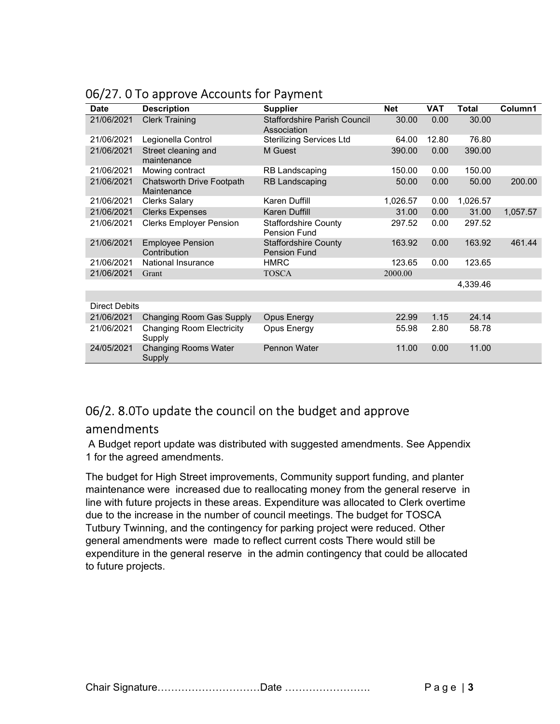| <b>Date</b>          | <b>Description</b>                         | <b>Supplier</b>                                    | <b>Net</b> | <b>VAT</b> | Total    | Column1  |
|----------------------|--------------------------------------------|----------------------------------------------------|------------|------------|----------|----------|
| 21/06/2021           | <b>Clerk Training</b>                      | <b>Staffordshire Parish Council</b><br>Association | 30.00      | 0.00       | 30.00    |          |
| 21/06/2021           | Legionella Control                         | <b>Sterilizing Services Ltd</b>                    | 64.00      | 12.80      | 76.80    |          |
| 21/06/2021           | Street cleaning and<br>maintenance         | M Guest                                            | 390.00     | 0.00       | 390.00   |          |
| 21/06/2021           | Mowing contract                            | RB Landscaping                                     | 150.00     | 0.00       | 150.00   |          |
| 21/06/2021           | Chatsworth Drive Footpath<br>Maintenance   | RB Landscaping                                     | 50.00      | 0.00       | 50.00    | 200.00   |
| 21/06/2021           | <b>Clerks Salary</b>                       | Karen Duffill                                      | 1,026.57   | 0.00       | 1,026.57 |          |
| 21/06/2021           | <b>Clerks Expenses</b>                     | Karen Duffill                                      | 31.00      | 0.00       | 31.00    | 1,057.57 |
| 21/06/2021           | <b>Clerks Employer Pension</b>             | <b>Staffordshire County</b><br><b>Pension Fund</b> | 297.52     | 0.00       | 297.52   |          |
| 21/06/2021           | <b>Employee Pension</b><br>Contribution    | <b>Staffordshire County</b><br><b>Pension Fund</b> | 163.92     | 0.00       | 163.92   | 461.44   |
| 21/06/2021           | National Insurance                         | <b>HMRC</b>                                        | 123.65     | 0.00       | 123.65   |          |
| 21/06/2021           | Grant                                      | <b>TOSCA</b>                                       | 2000.00    |            |          |          |
|                      |                                            |                                                    |            |            | 4,339.46 |          |
|                      |                                            |                                                    |            |            |          |          |
| <b>Direct Debits</b> |                                            |                                                    |            |            |          |          |
| 21/06/2021           | Changing Room Gas Supply                   | <b>Opus Energy</b>                                 | 22.99      | 1.15       | 24.14    |          |
| 21/06/2021           | <b>Changing Room Electricity</b><br>Supply | Opus Energy                                        | 55.98      | 2.80       | 58.78    |          |
| 24/05/2021           | <b>Changing Rooms Water</b><br>Supply      | Pennon Water                                       | 11.00      | 0.00       | 11.00    |          |

### 06/27. 0 To approve Accounts for Payment

# 06/2. 8.0To update the council on the budget and approve amendments

 A Budget report update was distributed with suggested amendments. See Appendix 1 for the agreed amendments.

The budget for High Street improvements, Community support funding, and planter maintenance were increased due to reallocating money from the general reserve in line with future projects in these areas. Expenditure was allocated to Clerk overtime due to the increase in the number of council meetings. The budget for TOSCA Tutbury Twinning, and the contingency for parking project were reduced. Other general amendments were made to reflect current costs There would still be expenditure in the general reserve in the admin contingency that could be allocated to future projects.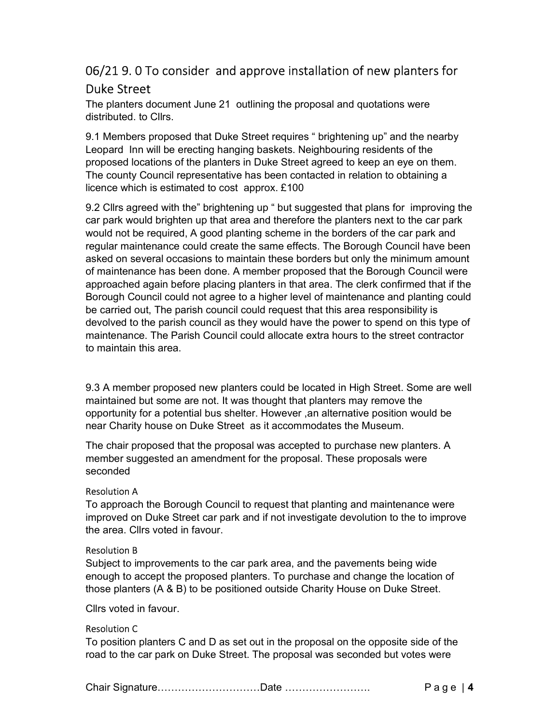# 06/21 9. 0 To consider and approve installation of new planters for Duke Street

The planters document June 21 outlining the proposal and quotations were distributed. to Cllrs.

9.1 Members proposed that Duke Street requires " brightening up" and the nearby Leopard Inn will be erecting hanging baskets. Neighbouring residents of the proposed locations of the planters in Duke Street agreed to keep an eye on them. The county Council representative has been contacted in relation to obtaining a licence which is estimated to cost approx. £100

9.2 Cllrs agreed with the" brightening up " but suggested that plans for improving the car park would brighten up that area and therefore the planters next to the car park would not be required, A good planting scheme in the borders of the car park and regular maintenance could create the same effects. The Borough Council have been asked on several occasions to maintain these borders but only the minimum amount of maintenance has been done. A member proposed that the Borough Council were approached again before placing planters in that area. The clerk confirmed that if the Borough Council could not agree to a higher level of maintenance and planting could be carried out, The parish council could request that this area responsibility is devolved to the parish council as they would have the power to spend on this type of maintenance. The Parish Council could allocate extra hours to the street contractor to maintain this area.

9.3 A member proposed new planters could be located in High Street. Some are well maintained but some are not. It was thought that planters may remove the opportunity for a potential bus shelter. However ,an alternative position would be near Charity house on Duke Street as it accommodates the Museum.

The chair proposed that the proposal was accepted to purchase new planters. A member suggested an amendment for the proposal. These proposals were seconded

#### Resolution A

To approach the Borough Council to request that planting and maintenance were improved on Duke Street car park and if not investigate devolution to the to improve the area. Cllrs voted in favour.

#### Resolution B

Subject to improvements to the car park area, and the pavements being wide enough to accept the proposed planters. To purchase and change the location of those planters (A & B) to be positioned outside Charity House on Duke Street.

Cllrs voted in favour.

#### Resolution C

To position planters C and D as set out in the proposal on the opposite side of the road to the car park on Duke Street. The proposal was seconded but votes were

Chair Signature…………………………Date ……………………. P a g e | 4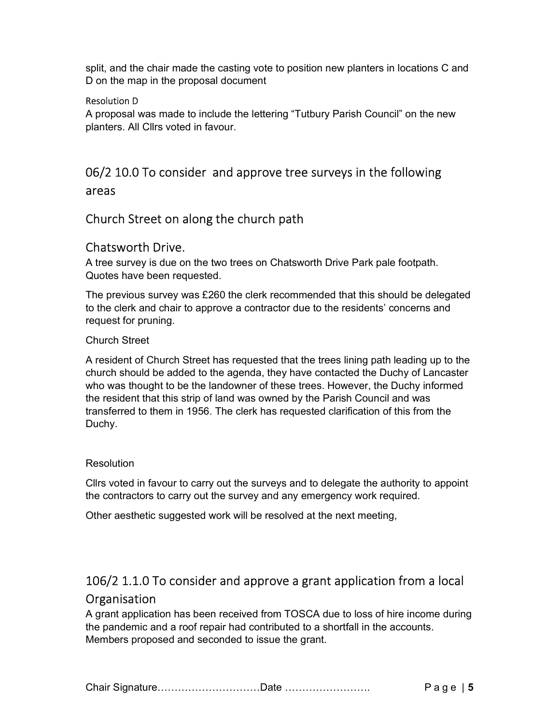split, and the chair made the casting vote to position new planters in locations C and D on the map in the proposal document

#### Resolution D

A proposal was made to include the lettering "Tutbury Parish Council" on the new planters. All Cllrs voted in favour.

# 06/2 10.0 To consider and approve tree surveys in the following areas

## Church Street on along the church path

### Chatsworth Drive.

A tree survey is due on the two trees on Chatsworth Drive Park pale footpath. Quotes have been requested.

The previous survey was £260 the clerk recommended that this should be delegated to the clerk and chair to approve a contractor due to the residents' concerns and request for pruning.

#### Church Street

A resident of Church Street has requested that the trees lining path leading up to the church should be added to the agenda, they have contacted the Duchy of Lancaster who was thought to be the landowner of these trees. However, the Duchy informed the resident that this strip of land was owned by the Parish Council and was transferred to them in 1956. The clerk has requested clarification of this from the Duchy.

#### **Resolution**

Cllrs voted in favour to carry out the surveys and to delegate the authority to appoint the contractors to carry out the survey and any emergency work required.

Other aesthetic suggested work will be resolved at the next meeting,

# 106/2 1.1.0 To consider and approve a grant application from a local **Organisation**

A grant application has been received from TOSCA due to loss of hire income during the pandemic and a roof repair had contributed to a shortfall in the accounts. Members proposed and seconded to issue the grant.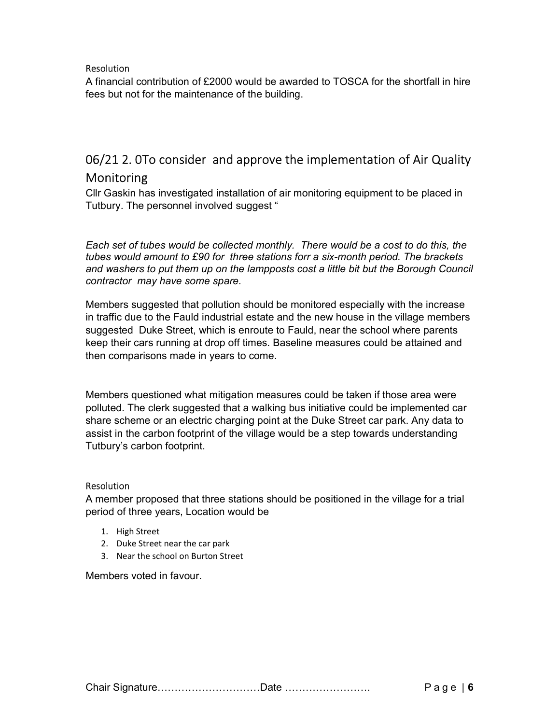#### Resolution

A financial contribution of £2000 would be awarded to TOSCA for the shortfall in hire fees but not for the maintenance of the building.

# 06/21 2. 0To consider and approve the implementation of Air Quality Monitoring

Cllr Gaskin has investigated installation of air monitoring equipment to be placed in Tutbury. The personnel involved suggest "

Each set of tubes would be collected monthly. There would be a cost to do this, the tubes would amount to £90 for three stations forr a six-month period. The brackets and washers to put them up on the lampposts cost a little bit but the Borough Council contractor may have some spare.

Members suggested that pollution should be monitored especially with the increase in traffic due to the Fauld industrial estate and the new house in the village members suggested Duke Street, which is enroute to Fauld, near the school where parents keep their cars running at drop off times. Baseline measures could be attained and then comparisons made in years to come.

Members questioned what mitigation measures could be taken if those area were polluted. The clerk suggested that a walking bus initiative could be implemented car share scheme or an electric charging point at the Duke Street car park. Any data to assist in the carbon footprint of the village would be a step towards understanding Tutbury's carbon footprint.

#### Resolution

A member proposed that three stations should be positioned in the village for a trial period of three years, Location would be

- 1. High Street
- 2. Duke Street near the car park
- 3. Near the school on Burton Street

Members voted in favour.